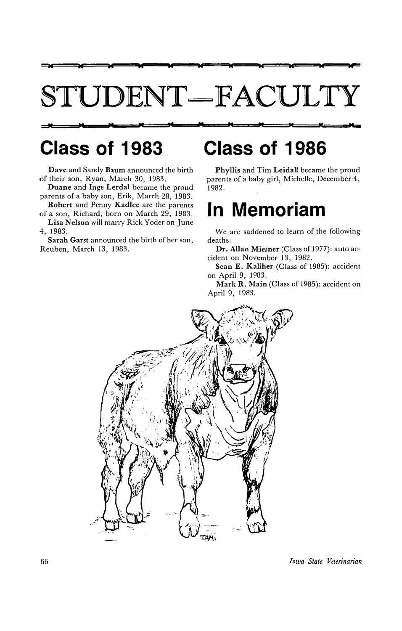# STUDENT-FACULTY

-.4 w .. w w .. .. w w w **a.--**

### ,. " M ,. **Class of 1983**

Dave and Sandy Baum announced the birth of their son, Ryan, March 30, 1983.

Duane and Inge Lerdal became the proud parents of a baby son, Erik, March 28, 1983.

Robert and Penny Kadlec are the parents of a son, Richard, born on March 29, 1983.

Lisa Nelson will marry Rick Yoder on June 4, 1983.

Sarah Garst announced the birth of her son, Reuben, March 13, 1983.

#### **Class of 1986**

" pc M M ?'

Phyllis and Tim Leidall became the proud parents of a baby girl, Michelle, December 4, 1982.

#### **In Memoriam**

We are saddened to learn of the following deaths:

Dr. Allan Miesner (Class of 1977): auto accident on November 13, 1982.

Sean E. Kaliher (Class of 1985): accident on April 9, 1983.

Mark R. Main (Class of 1985): accident on April 9, 1983.



*Iowa State Veterinarian*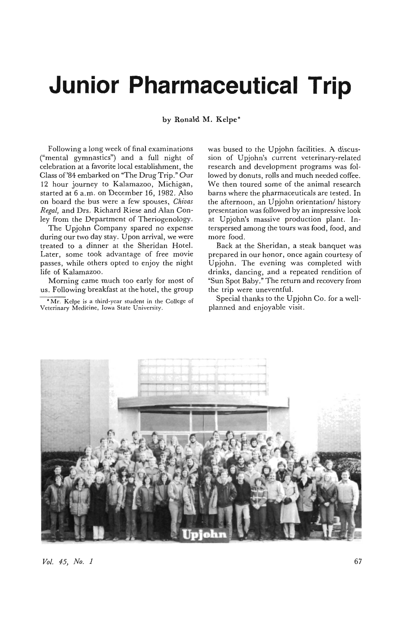## **Junior Pharmaceutical Trip**

**by Ronald** M. Kclpe\*

Following a long week of final examinations ("mental gymnastics") and a full night of celebration at a favorite local establishment, the Class of'84 embarked on "The Drug Trip." Our 12 hour journey to Kalamazoo, Michigan, started at 6 a.m. on December 16, 1982. Also on board the bus were a few spouses, *Chivas Regal,* and Drs. Richard Riese and Alan Conley from the Department of Theriogenology.

The Upjohn Company spared no expense during our two day stay. Upon arrival, we were treated to a dinner at the Sheridan Hotel. Later, some took advantage of free movie passes, while others opted to enjoy the night life of Kalamazoo.

Morning came much too early for most of us. Following breakfast at the hotel, the group

• Mr. Kclpc is a third· year student in the College of Veterinary Medicine, Iowa State University.

was bused to the Upjohn facilities. A discussion of Upjohn's current veterinary-related research and development programs was followed by donuts, rolls and much needed coffee. We then toured some of the animal research barns where the pharmaceuticals are tested. In the afternoon, an Upjohn orientation/ history presentation was followed by an impressive look at Upjohn's massive production plant. Interspersed among the tours was food, food, and more food.

Back at the Sheridan, a steak banquet was prepared in our honor, once again courtesy of Upjohn. The evening was completed with drinks, dancing, and a repeated rendition of "Sun Spot Baby." The return and recovery from the trip were uneventful.

Special thanks to the Upjohn Co. for a wcllplanned and enjoyable visit.



*Vol.* 45, *No. 1*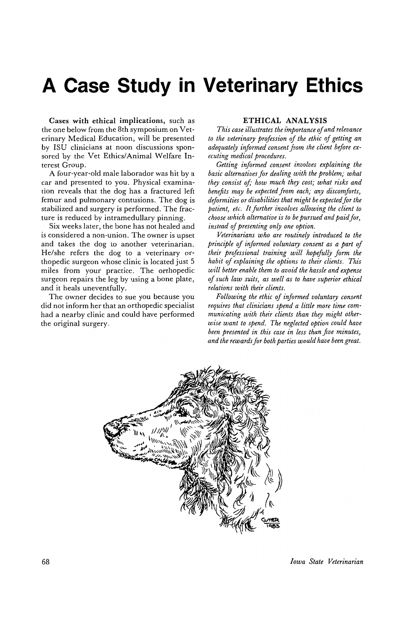#### **A Case Study in Veterinary Ethics**

Cases with ethical implications, such as the one below from the 8th symposium on Veterinary Medical Education, will be presented by ISU clinicians at noon discussions sponsored by the Vet Ethics/Animal Welfare Interest Group.

A four-year-old male laborador was hit by a car and presented to you. Physical examination reveals that the dog has a fractured left femur and pulmonary contusions. The dog is stabilized and surgery is performed. The fracture is reduced by intramedullary pinning.

Six weeks later, the bone has not healed and is considered a non-union. The owner is upset and takes the dog to another veterinarian. He/she refers the dog to a veterinary orthopedic surgeon whose clinic is located just 5 miles from your practice. The orthopedic surgeon repairs the leg by using a bone plate, and it heals uneventfully.

The owner decides to sue you because you did not inform her that an orthopedic specialist had a nearby clinic and could have performed the original surgery.

#### ETHICAL ANALYSIS

*This case illustrates the importance oj and relevance to the veterinary profession of the ethic of getting an adequately informed consent from the client before executing medical procedures.* 

*Getting informed consent involves explaining the basic alternatives for dealing with the problem; what they consist oj; how much they cost; what risks and benefits may be expected from each; any discomforts,* deformities or disabilities that might be expected for the *patient, etc. It further involves allowing the client to choose which alternative is to be pursued and paidfor, instead of presenting only one option.* 

*Veterinarians who are routinely introduced to the principle of informed voluntary consent as a part oj their professional training will hopefully form the habit oj explaining the options to their clients. This will better enable them to avoid the hassle and expense oj such law suits, as well as to have superior ethical relations with their clients.* 

*Following the ethic of informed voluntary consent requires that clinicians spend a little more time communicating with their clients than they might otherwise want to spend. The neglected option could have been presented in this case in less than five minutes, and the rewards for both parties would have been great.* 



*Iowa State Veterinarian*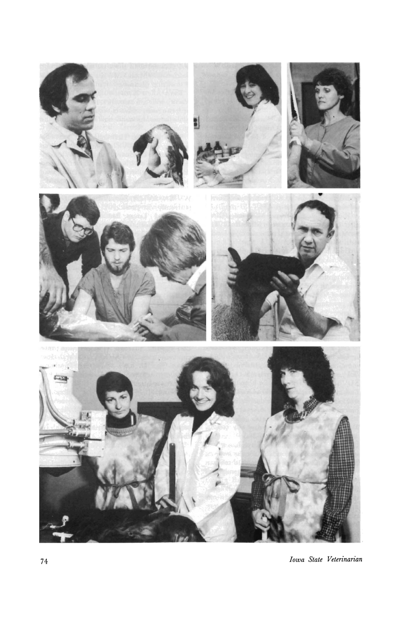